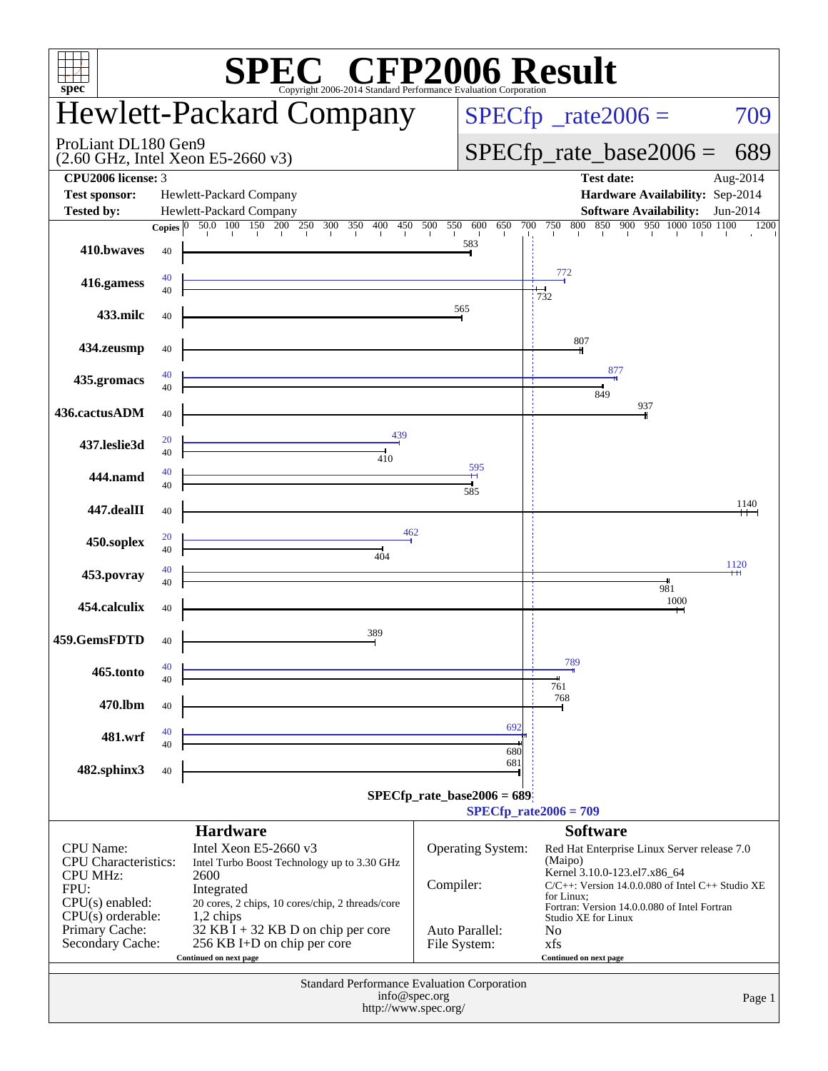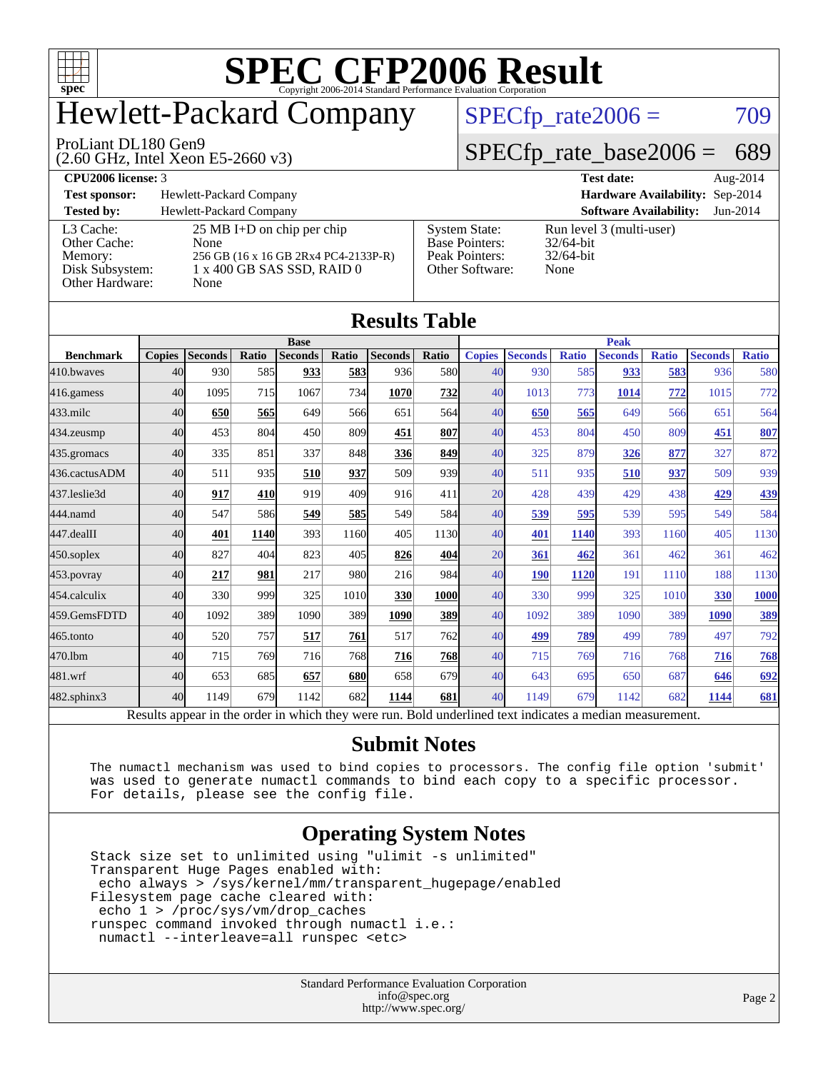

# Hewlett-Packard Company

#### ProLiant DL180 Gen9

(2.60 GHz, Intel Xeon E5-2660 v3)

 $SPECTp_rate2006 = 709$ 

### [SPECfp\\_rate\\_base2006 =](http://www.spec.org/auto/cpu2006/Docs/result-fields.html#SPECfpratebase2006) 689

| <b>CPU2006 license: 3</b> |                                      |                       | <b>Test date:</b>               | Aug-2014 |
|---------------------------|--------------------------------------|-----------------------|---------------------------------|----------|
| <b>Test sponsor:</b>      | Hewlett-Packard Company              |                       | Hardware Availability: Sep-2014 |          |
| <b>Tested by:</b>         | Hewlett-Packard Company              |                       | <b>Software Availability:</b>   | Jun-2014 |
| L3 Cache:                 | $25 \text{ MB I+D}$ on chip per chip | <b>System State:</b>  | Run level 3 (multi-user)        |          |
| Other Cache:              | <b>None</b>                          | <b>Base Pointers:</b> | $32/64$ -bit                    |          |
| Memory:                   | 256 GB (16 x 16 GB 2Rx4 PC4-2133P-R) | Peak Pointers:        | $32/64$ -bit                    |          |
| Disk Subsystem:           | 1 x 400 GB SAS SSD, RAID 0           | Other Software:       | None                            |          |

[Other Hardware:](http://www.spec.org/auto/cpu2006/Docs/result-fields.html#OtherHardware) None

|         |                                                                                    | <b>Hardware Availabilit</b>                                      |
|---------|------------------------------------------------------------------------------------|------------------------------------------------------------------|
|         |                                                                                    | <b>Software Availability</b>                                     |
| $33P-R$ | <b>System State:</b><br><b>Base Pointers:</b><br>Peak Pointers:<br>Other Software: | Run level 3 (multi-user)<br>$32/64$ -bit<br>$32/64$ -bit<br>None |

| Results Tavic    |                 |                                                                                                          |       |                |       |                |             |               |                |              |                |              |                |              |
|------------------|-----------------|----------------------------------------------------------------------------------------------------------|-------|----------------|-------|----------------|-------------|---------------|----------------|--------------|----------------|--------------|----------------|--------------|
|                  | <b>Base</b>     |                                                                                                          |       |                |       |                | <b>Peak</b> |               |                |              |                |              |                |              |
| <b>Benchmark</b> | <b>Copies</b>   | <b>Seconds</b>                                                                                           | Ratio | <b>Seconds</b> | Ratio | <b>Seconds</b> | Ratio       | <b>Copies</b> | <b>Seconds</b> | <b>Ratio</b> | <b>Seconds</b> | <b>Ratio</b> | <b>Seconds</b> | <b>Ratio</b> |
| 410.bwayes       | 40              | 930                                                                                                      | 585   | 933            | 583   | 936            | 580         | 40            | 930            | 585          | 933            | 583          | 936            | 580          |
| 416.gamess       | 40              | 1095                                                                                                     | 715   | 1067           | 734   | 1070           | 732         | 40            | 1013           | 773          | 1014           | 772          | 1015           | 772          |
| $433$ .milc      | 40              | 650                                                                                                      | 565   | 649            | 566   | 651            | 564         | 40            | 650            | 565          | 649            | 566          | 651            | 564          |
| $434$ . zeusmp   | 40              | 453                                                                                                      | 804   | 450            | 809   | 451            | 807         | 40            | 453            | 804          | 450            | 809          | 451            | 807          |
| 435.gromacs      | 40              | 335                                                                                                      | 851   | 337            | 848   | 336            | 849         | 40            | 325            | 879          | 326            | 877          | 327            | 872          |
| 436.cactusADM    | 40              | 511                                                                                                      | 935   | 510            | 937   | 509            | 939         | 40            | 511            | 935          | 510            | 937          | 509            | 939          |
| 437.leslie3d     | 40              | 917                                                                                                      | 410   | 919            | 409   | 916            | 411         | 20            | 428            | 439          | 429            | 438          | 429            | 439          |
| 444.namd         | 40 <sup>1</sup> | 547                                                                                                      | 586   | 549            | 585   | 549            | 584         | 40            | 539            | 595          | 539            | 595          | 549            | 584          |
| 447.dealII       | 40              | 401                                                                                                      | 1140  | 393            | 1160  | 405            | 1130        | 40            | 401            | 1140         | 393            | 1160         | 405            | 1130         |
| $450$ .soplex    | 40              | 827                                                                                                      | 404   | 823            | 405   | 826            | 404         | 20            | 361            | 462          | 361            | 462          | 361            | 462          |
| $453$ .povray    | 40              | 217                                                                                                      | 981   | 217            | 980   | 216            | 984         | 40            | <b>190</b>     | 1120         | 191            | 1110         | 188            | 1130         |
| 454.calculix     | 40              | 330                                                                                                      | 999   | 325            | 1010  | 330            | 1000        | 40            | 330            | 999          | 325            | 1010         | 330            | <b>1000</b>  |
| 459.GemsFDTD     | 40              | 1092                                                                                                     | 389   | 1090           | 389   | 1090           | 389         | 40            | 1092           | 389          | 1090           | 389          | 1090           | 389          |
| 465.tonto        | 40              | 520                                                                                                      | 757   | 517            | 761   | 517            | 762         | 40            | 499            | 789          | 499            | 789          | 497            | 792          |
| 470.1bm          | 40              | 715                                                                                                      | 769   | 716            | 768   | 716            | 768         | 40            | 715            | 769          | 716            | 768          | 716            | 768          |
| 481.wrf          | 40              | 653                                                                                                      | 685   | 657            | 680   | 658            | 679         | 40            | 643            | 695          | 650            | 687          | 646            | 692          |
| 482.sphinx3      | 40              | 1149                                                                                                     | 679   | 1142           | 682   | 1144           | 681         | 40            | 1149           | 679          | 1142           | 682          | 1144           | <b>681</b>   |
|                  |                 | Results appear in the order in which they were run. Bold underlined text indicates a median measurement. |       |                |       |                |             |               |                |              |                |              |                |              |

**[Results Table](http://www.spec.org/auto/cpu2006/Docs/result-fields.html#ResultsTable)**

#### **[Submit Notes](http://www.spec.org/auto/cpu2006/Docs/result-fields.html#SubmitNotes)**

 The numactl mechanism was used to bind copies to processors. The config file option 'submit' was used to generate numactl commands to bind each copy to a specific processor. For details, please see the config file.

### **[Operating System Notes](http://www.spec.org/auto/cpu2006/Docs/result-fields.html#OperatingSystemNotes)**

 Stack size set to unlimited using "ulimit -s unlimited" Transparent Huge Pages enabled with: echo always > /sys/kernel/mm/transparent\_hugepage/enabled Filesystem page cache cleared with: echo 1 > /proc/sys/vm/drop\_caches runspec command invoked through numactl i.e.: numactl --interleave=all runspec <etc>

> Standard Performance Evaluation Corporation [info@spec.org](mailto:info@spec.org) <http://www.spec.org/>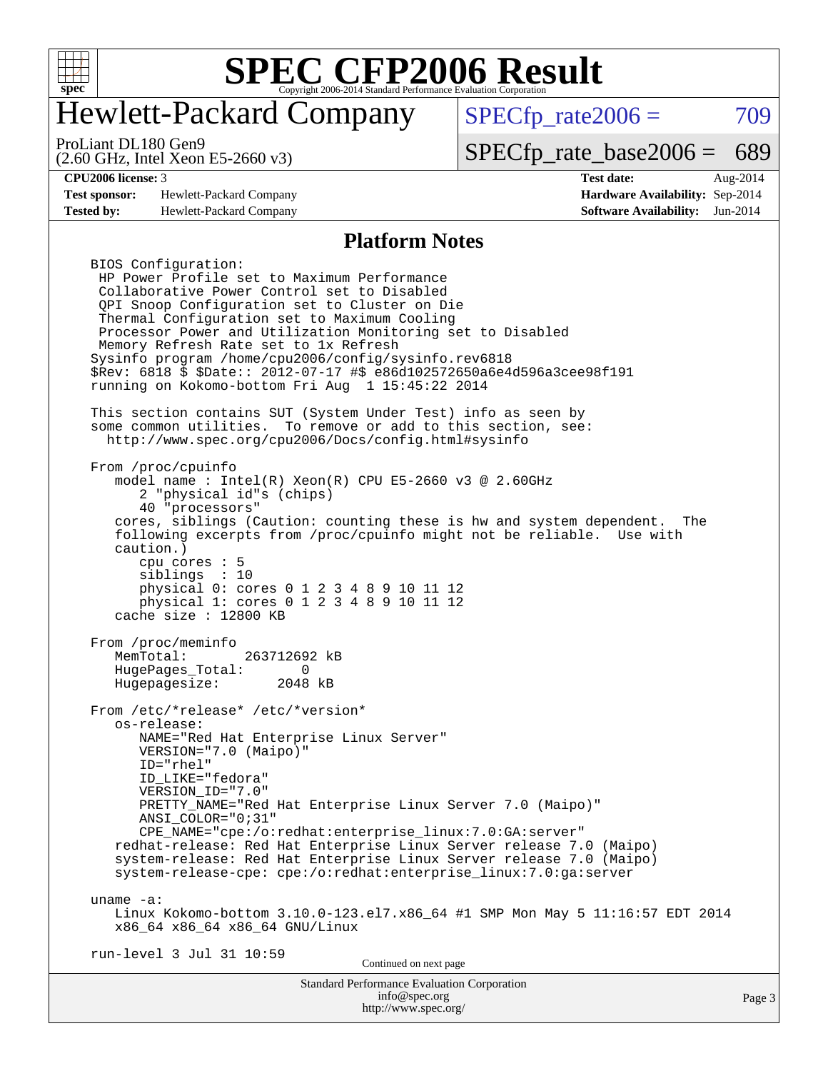

# Hewlett-Packard Company

 $SPECTp_rate2006 = 709$ 

(2.60 GHz, Intel Xeon E5-2660 v3) ProLiant DL180 Gen9

[SPECfp\\_rate\\_base2006 =](http://www.spec.org/auto/cpu2006/Docs/result-fields.html#SPECfpratebase2006) 689

**[Test sponsor:](http://www.spec.org/auto/cpu2006/Docs/result-fields.html#Testsponsor)** Hewlett-Packard Company **[Hardware Availability:](http://www.spec.org/auto/cpu2006/Docs/result-fields.html#HardwareAvailability)** Sep-2014 **[Tested by:](http://www.spec.org/auto/cpu2006/Docs/result-fields.html#Testedby)** Hewlett-Packard Company **[Software Availability:](http://www.spec.org/auto/cpu2006/Docs/result-fields.html#SoftwareAvailability)** Jun-2014

**[CPU2006 license:](http://www.spec.org/auto/cpu2006/Docs/result-fields.html#CPU2006license)** 3 **[Test date:](http://www.spec.org/auto/cpu2006/Docs/result-fields.html#Testdate)** Aug-2014

#### **[Platform Notes](http://www.spec.org/auto/cpu2006/Docs/result-fields.html#PlatformNotes)**

Standard Performance Evaluation Corporation BIOS Configuration: HP Power Profile set to Maximum Performance Collaborative Power Control set to Disabled QPI Snoop Configuration set to Cluster on Die Thermal Configuration set to Maximum Cooling Processor Power and Utilization Monitoring set to Disabled Memory Refresh Rate set to 1x Refresh Sysinfo program /home/cpu2006/config/sysinfo.rev6818 \$Rev: 6818 \$ \$Date:: 2012-07-17 #\$ e86d102572650a6e4d596a3cee98f191 running on Kokomo-bottom Fri Aug 1 15:45:22 2014 This section contains SUT (System Under Test) info as seen by some common utilities. To remove or add to this section, see: <http://www.spec.org/cpu2006/Docs/config.html#sysinfo> From /proc/cpuinfo model name : Intel(R) Xeon(R) CPU E5-2660 v3 @ 2.60GHz 2 "physical id"s (chips) 40 "processors" cores, siblings (Caution: counting these is hw and system dependent. The following excerpts from /proc/cpuinfo might not be reliable. Use with caution.) cpu cores : 5 siblings : 10 physical 0: cores 0 1 2 3 4 8 9 10 11 12 physical 1: cores 0 1 2 3 4 8 9 10 11 12 cache size : 12800 KB From /proc/meminfo MemTotal: 263712692 kB HugePages\_Total: 0<br>Hugepagesize: 2048 kB Hugepagesize: From /etc/\*release\* /etc/\*version\* os-release: NAME="Red Hat Enterprise Linux Server" VERSION="7.0 (Maipo)" ID="rhel" ID\_LIKE="fedora" VERSION\_ID="7.0" PRETTY\_NAME="Red Hat Enterprise Linux Server 7.0 (Maipo)" ANSI\_COLOR="0;31" CPE\_NAME="cpe:/o:redhat:enterprise\_linux:7.0:GA:server" redhat-release: Red Hat Enterprise Linux Server release 7.0 (Maipo) system-release: Red Hat Enterprise Linux Server release 7.0 (Maipo) system-release-cpe: cpe:/o:redhat:enterprise\_linux:7.0:ga:server uname -a: Linux Kokomo-bottom 3.10.0-123.el7.x86\_64 #1 SMP Mon May 5 11:16:57 EDT 2014 x86\_64 x86\_64 x86\_64 GNU/Linux run-level 3 Jul 31 10:59 Continued on next page

> [info@spec.org](mailto:info@spec.org) <http://www.spec.org/>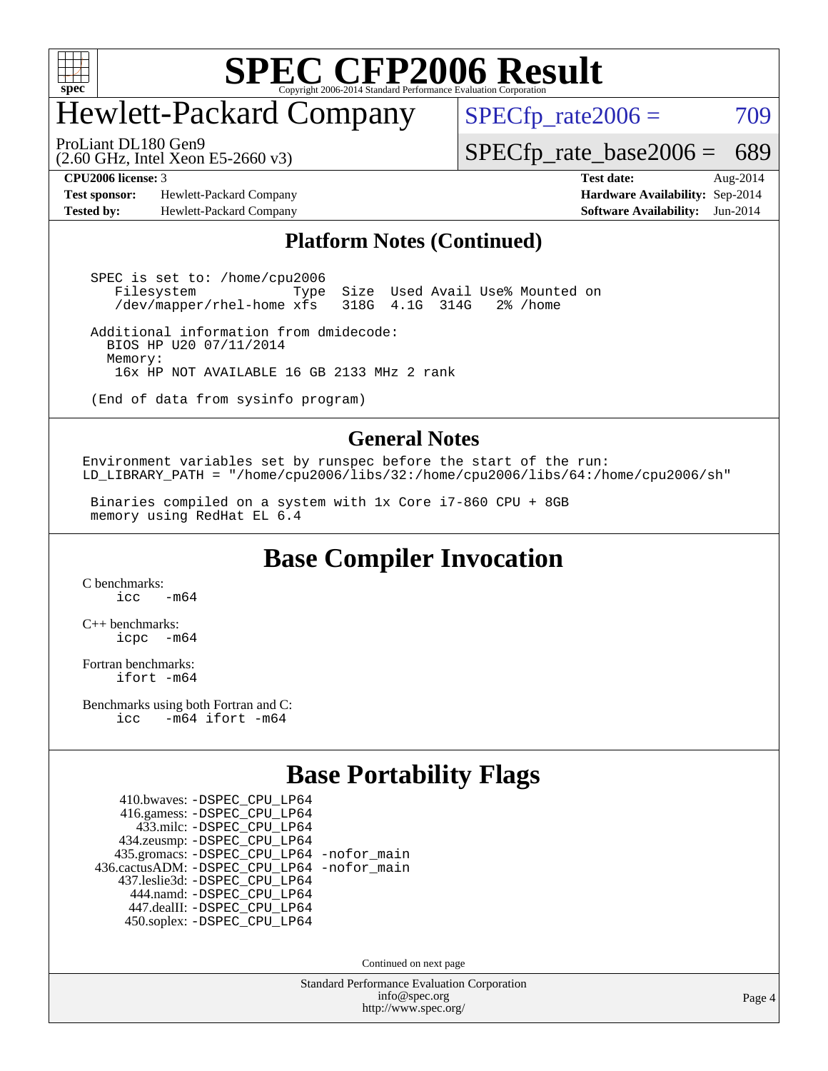

# Hewlett-Packard Company

 $SPECTp_rate2006 = 709$ 

(2.60 GHz, Intel Xeon E5-2660 v3) ProLiant DL180 Gen9

[SPECfp\\_rate\\_base2006 =](http://www.spec.org/auto/cpu2006/Docs/result-fields.html#SPECfpratebase2006) 689

**[Test sponsor:](http://www.spec.org/auto/cpu2006/Docs/result-fields.html#Testsponsor)** Hewlett-Packard Company **[Hardware Availability:](http://www.spec.org/auto/cpu2006/Docs/result-fields.html#HardwareAvailability)** Sep-2014 **[Tested by:](http://www.spec.org/auto/cpu2006/Docs/result-fields.html#Testedby)** Hewlett-Packard Company **[Software Availability:](http://www.spec.org/auto/cpu2006/Docs/result-fields.html#SoftwareAvailability)** Jun-2014

**[CPU2006 license:](http://www.spec.org/auto/cpu2006/Docs/result-fields.html#CPU2006license)** 3 **[Test date:](http://www.spec.org/auto/cpu2006/Docs/result-fields.html#Testdate)** Aug-2014

### **[Platform Notes \(Continued\)](http://www.spec.org/auto/cpu2006/Docs/result-fields.html#PlatformNotes)**

 SPEC is set to: /home/cpu2006 Filesystem Type Size Used Avail Use% Mounted on<br>/dev/mapper/rhel-home xfs 318G 4.1G 314G 2% /home /dev/mapper/rhel-home xfs

 Additional information from dmidecode: BIOS HP U20 07/11/2014 Memory: 16x HP NOT AVAILABLE 16 GB 2133 MHz 2 rank

(End of data from sysinfo program)

#### **[General Notes](http://www.spec.org/auto/cpu2006/Docs/result-fields.html#GeneralNotes)**

Environment variables set by runspec before the start of the run: LD\_LIBRARY\_PATH = "/home/cpu2006/libs/32:/home/cpu2006/libs/64:/home/cpu2006/sh"

 Binaries compiled on a system with 1x Core i7-860 CPU + 8GB memory using RedHat EL 6.4

**[Base Compiler Invocation](http://www.spec.org/auto/cpu2006/Docs/result-fields.html#BaseCompilerInvocation)**

[C benchmarks](http://www.spec.org/auto/cpu2006/Docs/result-fields.html#Cbenchmarks):  $icc$   $-m64$ 

[C++ benchmarks:](http://www.spec.org/auto/cpu2006/Docs/result-fields.html#CXXbenchmarks) [icpc -m64](http://www.spec.org/cpu2006/results/res2014q3/cpu2006-20140908-31248.flags.html#user_CXXbase_intel_icpc_64bit_bedb90c1146cab66620883ef4f41a67e)

[Fortran benchmarks](http://www.spec.org/auto/cpu2006/Docs/result-fields.html#Fortranbenchmarks): [ifort -m64](http://www.spec.org/cpu2006/results/res2014q3/cpu2006-20140908-31248.flags.html#user_FCbase_intel_ifort_64bit_ee9d0fb25645d0210d97eb0527dcc06e)

[Benchmarks using both Fortran and C](http://www.spec.org/auto/cpu2006/Docs/result-fields.html#BenchmarksusingbothFortranandC): [icc -m64](http://www.spec.org/cpu2006/results/res2014q3/cpu2006-20140908-31248.flags.html#user_CC_FCbase_intel_icc_64bit_0b7121f5ab7cfabee23d88897260401c) [ifort -m64](http://www.spec.org/cpu2006/results/res2014q3/cpu2006-20140908-31248.flags.html#user_CC_FCbase_intel_ifort_64bit_ee9d0fb25645d0210d97eb0527dcc06e)

### **[Base Portability Flags](http://www.spec.org/auto/cpu2006/Docs/result-fields.html#BasePortabilityFlags)**

 410.bwaves: [-DSPEC\\_CPU\\_LP64](http://www.spec.org/cpu2006/results/res2014q3/cpu2006-20140908-31248.flags.html#suite_basePORTABILITY410_bwaves_DSPEC_CPU_LP64) 416.gamess: [-DSPEC\\_CPU\\_LP64](http://www.spec.org/cpu2006/results/res2014q3/cpu2006-20140908-31248.flags.html#suite_basePORTABILITY416_gamess_DSPEC_CPU_LP64) 433.milc: [-DSPEC\\_CPU\\_LP64](http://www.spec.org/cpu2006/results/res2014q3/cpu2006-20140908-31248.flags.html#suite_basePORTABILITY433_milc_DSPEC_CPU_LP64) 434.zeusmp: [-DSPEC\\_CPU\\_LP64](http://www.spec.org/cpu2006/results/res2014q3/cpu2006-20140908-31248.flags.html#suite_basePORTABILITY434_zeusmp_DSPEC_CPU_LP64) 435.gromacs: [-DSPEC\\_CPU\\_LP64](http://www.spec.org/cpu2006/results/res2014q3/cpu2006-20140908-31248.flags.html#suite_basePORTABILITY435_gromacs_DSPEC_CPU_LP64) [-nofor\\_main](http://www.spec.org/cpu2006/results/res2014q3/cpu2006-20140908-31248.flags.html#user_baseLDPORTABILITY435_gromacs_f-nofor_main) 436.cactusADM: [-DSPEC\\_CPU\\_LP64](http://www.spec.org/cpu2006/results/res2014q3/cpu2006-20140908-31248.flags.html#suite_basePORTABILITY436_cactusADM_DSPEC_CPU_LP64) [-nofor\\_main](http://www.spec.org/cpu2006/results/res2014q3/cpu2006-20140908-31248.flags.html#user_baseLDPORTABILITY436_cactusADM_f-nofor_main) 437.leslie3d: [-DSPEC\\_CPU\\_LP64](http://www.spec.org/cpu2006/results/res2014q3/cpu2006-20140908-31248.flags.html#suite_basePORTABILITY437_leslie3d_DSPEC_CPU_LP64) 444.namd: [-DSPEC\\_CPU\\_LP64](http://www.spec.org/cpu2006/results/res2014q3/cpu2006-20140908-31248.flags.html#suite_basePORTABILITY444_namd_DSPEC_CPU_LP64) 447.dealII: [-DSPEC\\_CPU\\_LP64](http://www.spec.org/cpu2006/results/res2014q3/cpu2006-20140908-31248.flags.html#suite_basePORTABILITY447_dealII_DSPEC_CPU_LP64) 450.soplex: [-DSPEC\\_CPU\\_LP64](http://www.spec.org/cpu2006/results/res2014q3/cpu2006-20140908-31248.flags.html#suite_basePORTABILITY450_soplex_DSPEC_CPU_LP64)

Continued on next page

Standard Performance Evaluation Corporation [info@spec.org](mailto:info@spec.org) <http://www.spec.org/>

Page 4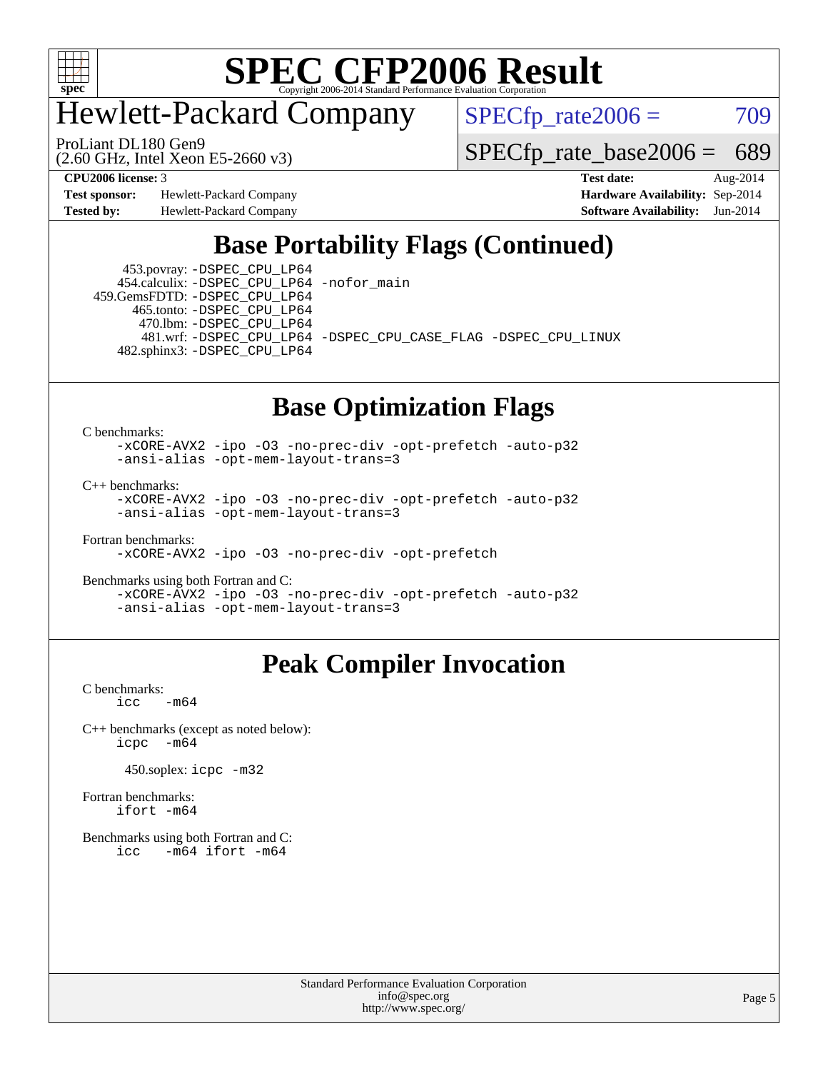

# Hewlett-Packard Company

 $SPECfp_rate2006 = 709$  $SPECfp_rate2006 = 709$ 

(2.60 GHz, Intel Xeon E5-2660 v3) ProLiant DL180 Gen9

[SPECfp\\_rate\\_base2006 =](http://www.spec.org/auto/cpu2006/Docs/result-fields.html#SPECfpratebase2006) 689

**[Test sponsor:](http://www.spec.org/auto/cpu2006/Docs/result-fields.html#Testsponsor)** Hewlett-Packard Company **[Hardware Availability:](http://www.spec.org/auto/cpu2006/Docs/result-fields.html#HardwareAvailability)** Sep-2014 **[Tested by:](http://www.spec.org/auto/cpu2006/Docs/result-fields.html#Testedby)** Hewlett-Packard Company **[Software Availability:](http://www.spec.org/auto/cpu2006/Docs/result-fields.html#SoftwareAvailability)** Jun-2014

**[CPU2006 license:](http://www.spec.org/auto/cpu2006/Docs/result-fields.html#CPU2006license)** 3 **[Test date:](http://www.spec.org/auto/cpu2006/Docs/result-fields.html#Testdate)** Aug-2014

# **[Base Portability Flags \(Continued\)](http://www.spec.org/auto/cpu2006/Docs/result-fields.html#BasePortabilityFlags)**

 453.povray: [-DSPEC\\_CPU\\_LP64](http://www.spec.org/cpu2006/results/res2014q3/cpu2006-20140908-31248.flags.html#suite_basePORTABILITY453_povray_DSPEC_CPU_LP64) 454.calculix: [-DSPEC\\_CPU\\_LP64](http://www.spec.org/cpu2006/results/res2014q3/cpu2006-20140908-31248.flags.html#suite_basePORTABILITY454_calculix_DSPEC_CPU_LP64) [-nofor\\_main](http://www.spec.org/cpu2006/results/res2014q3/cpu2006-20140908-31248.flags.html#user_baseLDPORTABILITY454_calculix_f-nofor_main)

 459.GemsFDTD: [-DSPEC\\_CPU\\_LP64](http://www.spec.org/cpu2006/results/res2014q3/cpu2006-20140908-31248.flags.html#suite_basePORTABILITY459_GemsFDTD_DSPEC_CPU_LP64) 465.tonto: [-DSPEC\\_CPU\\_LP64](http://www.spec.org/cpu2006/results/res2014q3/cpu2006-20140908-31248.flags.html#suite_basePORTABILITY465_tonto_DSPEC_CPU_LP64) 470.lbm: [-DSPEC\\_CPU\\_LP64](http://www.spec.org/cpu2006/results/res2014q3/cpu2006-20140908-31248.flags.html#suite_basePORTABILITY470_lbm_DSPEC_CPU_LP64) 482.sphinx3: [-DSPEC\\_CPU\\_LP64](http://www.spec.org/cpu2006/results/res2014q3/cpu2006-20140908-31248.flags.html#suite_basePORTABILITY482_sphinx3_DSPEC_CPU_LP64)

481.wrf: [-DSPEC\\_CPU\\_LP64](http://www.spec.org/cpu2006/results/res2014q3/cpu2006-20140908-31248.flags.html#suite_basePORTABILITY481_wrf_DSPEC_CPU_LP64) [-DSPEC\\_CPU\\_CASE\\_FLAG](http://www.spec.org/cpu2006/results/res2014q3/cpu2006-20140908-31248.flags.html#b481.wrf_baseCPORTABILITY_DSPEC_CPU_CASE_FLAG) [-DSPEC\\_CPU\\_LINUX](http://www.spec.org/cpu2006/results/res2014q3/cpu2006-20140908-31248.flags.html#b481.wrf_baseCPORTABILITY_DSPEC_CPU_LINUX)

### **[Base Optimization Flags](http://www.spec.org/auto/cpu2006/Docs/result-fields.html#BaseOptimizationFlags)**

[C benchmarks](http://www.spec.org/auto/cpu2006/Docs/result-fields.html#Cbenchmarks):

[-xCORE-AVX2](http://www.spec.org/cpu2006/results/res2014q3/cpu2006-20140908-31248.flags.html#user_CCbase_f-xAVX2_5f5fc0cbe2c9f62c816d3e45806c70d7) [-ipo](http://www.spec.org/cpu2006/results/res2014q3/cpu2006-20140908-31248.flags.html#user_CCbase_f-ipo) [-O3](http://www.spec.org/cpu2006/results/res2014q3/cpu2006-20140908-31248.flags.html#user_CCbase_f-O3) [-no-prec-div](http://www.spec.org/cpu2006/results/res2014q3/cpu2006-20140908-31248.flags.html#user_CCbase_f-no-prec-div) [-opt-prefetch](http://www.spec.org/cpu2006/results/res2014q3/cpu2006-20140908-31248.flags.html#user_CCbase_f-opt-prefetch) [-auto-p32](http://www.spec.org/cpu2006/results/res2014q3/cpu2006-20140908-31248.flags.html#user_CCbase_f-auto-p32) [-ansi-alias](http://www.spec.org/cpu2006/results/res2014q3/cpu2006-20140908-31248.flags.html#user_CCbase_f-ansi-alias) [-opt-mem-layout-trans=3](http://www.spec.org/cpu2006/results/res2014q3/cpu2006-20140908-31248.flags.html#user_CCbase_f-opt-mem-layout-trans_a7b82ad4bd7abf52556d4961a2ae94d5)

[C++ benchmarks:](http://www.spec.org/auto/cpu2006/Docs/result-fields.html#CXXbenchmarks)

[-xCORE-AVX2](http://www.spec.org/cpu2006/results/res2014q3/cpu2006-20140908-31248.flags.html#user_CXXbase_f-xAVX2_5f5fc0cbe2c9f62c816d3e45806c70d7) [-ipo](http://www.spec.org/cpu2006/results/res2014q3/cpu2006-20140908-31248.flags.html#user_CXXbase_f-ipo) [-O3](http://www.spec.org/cpu2006/results/res2014q3/cpu2006-20140908-31248.flags.html#user_CXXbase_f-O3) [-no-prec-div](http://www.spec.org/cpu2006/results/res2014q3/cpu2006-20140908-31248.flags.html#user_CXXbase_f-no-prec-div) [-opt-prefetch](http://www.spec.org/cpu2006/results/res2014q3/cpu2006-20140908-31248.flags.html#user_CXXbase_f-opt-prefetch) [-auto-p32](http://www.spec.org/cpu2006/results/res2014q3/cpu2006-20140908-31248.flags.html#user_CXXbase_f-auto-p32) [-ansi-alias](http://www.spec.org/cpu2006/results/res2014q3/cpu2006-20140908-31248.flags.html#user_CXXbase_f-ansi-alias) [-opt-mem-layout-trans=3](http://www.spec.org/cpu2006/results/res2014q3/cpu2006-20140908-31248.flags.html#user_CXXbase_f-opt-mem-layout-trans_a7b82ad4bd7abf52556d4961a2ae94d5)

[Fortran benchmarks](http://www.spec.org/auto/cpu2006/Docs/result-fields.html#Fortranbenchmarks): [-xCORE-AVX2](http://www.spec.org/cpu2006/results/res2014q3/cpu2006-20140908-31248.flags.html#user_FCbase_f-xAVX2_5f5fc0cbe2c9f62c816d3e45806c70d7) [-ipo](http://www.spec.org/cpu2006/results/res2014q3/cpu2006-20140908-31248.flags.html#user_FCbase_f-ipo) [-O3](http://www.spec.org/cpu2006/results/res2014q3/cpu2006-20140908-31248.flags.html#user_FCbase_f-O3) [-no-prec-div](http://www.spec.org/cpu2006/results/res2014q3/cpu2006-20140908-31248.flags.html#user_FCbase_f-no-prec-div) [-opt-prefetch](http://www.spec.org/cpu2006/results/res2014q3/cpu2006-20140908-31248.flags.html#user_FCbase_f-opt-prefetch)

[Benchmarks using both Fortran and C](http://www.spec.org/auto/cpu2006/Docs/result-fields.html#BenchmarksusingbothFortranandC): [-xCORE-AVX2](http://www.spec.org/cpu2006/results/res2014q3/cpu2006-20140908-31248.flags.html#user_CC_FCbase_f-xAVX2_5f5fc0cbe2c9f62c816d3e45806c70d7) [-ipo](http://www.spec.org/cpu2006/results/res2014q3/cpu2006-20140908-31248.flags.html#user_CC_FCbase_f-ipo) [-O3](http://www.spec.org/cpu2006/results/res2014q3/cpu2006-20140908-31248.flags.html#user_CC_FCbase_f-O3) [-no-prec-div](http://www.spec.org/cpu2006/results/res2014q3/cpu2006-20140908-31248.flags.html#user_CC_FCbase_f-no-prec-div) [-opt-prefetch](http://www.spec.org/cpu2006/results/res2014q3/cpu2006-20140908-31248.flags.html#user_CC_FCbase_f-opt-prefetch) [-auto-p32](http://www.spec.org/cpu2006/results/res2014q3/cpu2006-20140908-31248.flags.html#user_CC_FCbase_f-auto-p32) [-ansi-alias](http://www.spec.org/cpu2006/results/res2014q3/cpu2006-20140908-31248.flags.html#user_CC_FCbase_f-ansi-alias) [-opt-mem-layout-trans=3](http://www.spec.org/cpu2006/results/res2014q3/cpu2006-20140908-31248.flags.html#user_CC_FCbase_f-opt-mem-layout-trans_a7b82ad4bd7abf52556d4961a2ae94d5)

## **[Peak Compiler Invocation](http://www.spec.org/auto/cpu2006/Docs/result-fields.html#PeakCompilerInvocation)**

[C benchmarks](http://www.spec.org/auto/cpu2006/Docs/result-fields.html#Cbenchmarks):  $\text{icc}$   $-\text{m64}$ 

[C++ benchmarks \(except as noted below\):](http://www.spec.org/auto/cpu2006/Docs/result-fields.html#CXXbenchmarksexceptasnotedbelow) [icpc -m64](http://www.spec.org/cpu2006/results/res2014q3/cpu2006-20140908-31248.flags.html#user_CXXpeak_intel_icpc_64bit_bedb90c1146cab66620883ef4f41a67e)

450.soplex: [icpc -m32](http://www.spec.org/cpu2006/results/res2014q3/cpu2006-20140908-31248.flags.html#user_peakCXXLD450_soplex_intel_icpc_4e5a5ef1a53fd332b3c49e69c3330699)

[Fortran benchmarks](http://www.spec.org/auto/cpu2006/Docs/result-fields.html#Fortranbenchmarks): [ifort -m64](http://www.spec.org/cpu2006/results/res2014q3/cpu2006-20140908-31248.flags.html#user_FCpeak_intel_ifort_64bit_ee9d0fb25645d0210d97eb0527dcc06e)

[Benchmarks using both Fortran and C](http://www.spec.org/auto/cpu2006/Docs/result-fields.html#BenchmarksusingbothFortranandC): [icc -m64](http://www.spec.org/cpu2006/results/res2014q3/cpu2006-20140908-31248.flags.html#user_CC_FCpeak_intel_icc_64bit_0b7121f5ab7cfabee23d88897260401c) [ifort -m64](http://www.spec.org/cpu2006/results/res2014q3/cpu2006-20140908-31248.flags.html#user_CC_FCpeak_intel_ifort_64bit_ee9d0fb25645d0210d97eb0527dcc06e)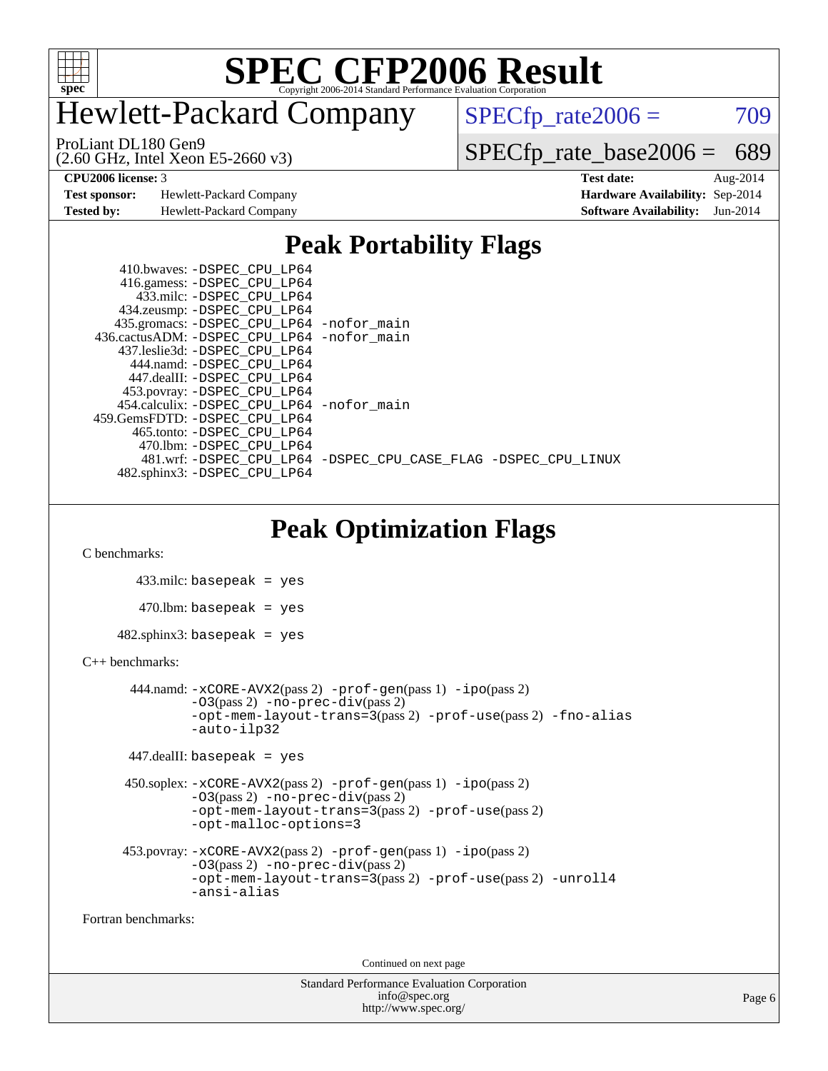

# Hewlett-Packard Company

 $SPECfp_rate2006 = 709$  $SPECfp_rate2006 = 709$ 

(2.60 GHz, Intel Xeon E5-2660 v3) ProLiant DL180 Gen9

[SPECfp\\_rate\\_base2006 =](http://www.spec.org/auto/cpu2006/Docs/result-fields.html#SPECfpratebase2006) 689

**[Test sponsor:](http://www.spec.org/auto/cpu2006/Docs/result-fields.html#Testsponsor)** Hewlett-Packard Company **[Hardware Availability:](http://www.spec.org/auto/cpu2006/Docs/result-fields.html#HardwareAvailability)** Sep-2014

**[CPU2006 license:](http://www.spec.org/auto/cpu2006/Docs/result-fields.html#CPU2006license)** 3 **[Test date:](http://www.spec.org/auto/cpu2006/Docs/result-fields.html#Testdate)** Aug-2014 **[Tested by:](http://www.spec.org/auto/cpu2006/Docs/result-fields.html#Testedby)** Hewlett-Packard Company **[Software Availability:](http://www.spec.org/auto/cpu2006/Docs/result-fields.html#SoftwareAvailability)** Jun-2014

### **[Peak Portability Flags](http://www.spec.org/auto/cpu2006/Docs/result-fields.html#PeakPortabilityFlags)**

| 410.bwaves: -DSPEC CPU LP64                |                                                                |
|--------------------------------------------|----------------------------------------------------------------|
| 416.gamess: -DSPEC_CPU_LP64                |                                                                |
| 433.milc: -DSPEC CPU LP64                  |                                                                |
| 434.zeusmp: -DSPEC_CPU_LP64                |                                                                |
| 435.gromacs: -DSPEC_CPU_LP64 -nofor_main   |                                                                |
| 436.cactusADM: -DSPEC_CPU_LP64 -nofor_main |                                                                |
| 437.leslie3d: -DSPEC_CPU LP64              |                                                                |
| 444.namd: -DSPEC CPU LP64                  |                                                                |
| 447.dealII: -DSPEC CPU LP64                |                                                                |
| 453.povray: -DSPEC_CPU_LP64                |                                                                |
| 454.calculix: -DSPEC CPU LP64 -nofor main  |                                                                |
| 459.GemsFDTD: -DSPEC CPU LP64              |                                                                |
| 465.tonto: -DSPEC CPU LP64                 |                                                                |
| 470.1bm: - DSPEC CPU LP64                  |                                                                |
|                                            | 481.wrf: -DSPEC_CPU_LP64 -DSPEC_CPU_CASE_FLAG -DSPEC_CPU_LINUX |
| 482.sphinx3: -DSPEC CPU LP64               |                                                                |

# **[Peak Optimization Flags](http://www.spec.org/auto/cpu2006/Docs/result-fields.html#PeakOptimizationFlags)**

[C benchmarks](http://www.spec.org/auto/cpu2006/Docs/result-fields.html#Cbenchmarks):

```
 433.milc: basepeak = yes
        470.lbm: basepeak = yes
     482.sphinx3: basepeak = yes
C++ benchmarks: 
        444.namd: -xCORE-AVX2(pass 2) -prof-gen(pass 1) -ipo(pass 2)
               -03(pass 2) -no-prec-div(pass 2)
               -opt-mem-layout-trans=3(pass 2) -prof-use(pass 2) -fno-alias
               -auto-ilp32
       447.dealII: basepeak = yes
       450.soplex: -xCORE-AVX2(pass 2) -prof-gen(pass 1) -ipo(pass 2)
               -O3(pass 2) -no-prec-div(pass 2)
               -opt-mem-layout-trans=3(pass 2) -prof-use(pass 2)
               -opt-malloc-options=3
      453.povray: -xCORE-AVX2(pass 2) -prof-gen(pass 1) -ipo(pass 2)
               -O3(pass 2) -no-prec-div(pass 2)
               -opt-mem-layout-trans=3(pass 2) -prof-use(pass 2) -unroll4
               -ansi-alias
```
[Fortran benchmarks](http://www.spec.org/auto/cpu2006/Docs/result-fields.html#Fortranbenchmarks):

Continued on next page

Standard Performance Evaluation Corporation [info@spec.org](mailto:info@spec.org) <http://www.spec.org/>